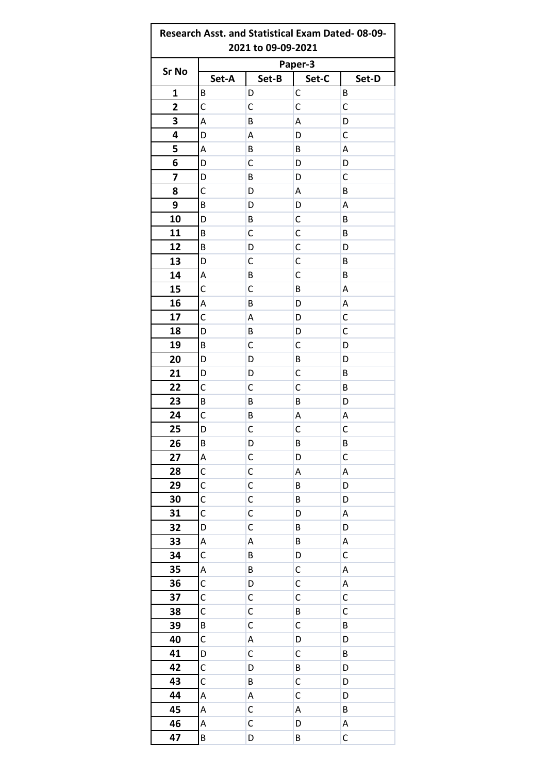| Research Asst. and Statistical Exam Dated-08-09-<br>2021 to 09-09-2021 |         |             |              |       |  |  |  |
|------------------------------------------------------------------------|---------|-------------|--------------|-------|--|--|--|
|                                                                        | Paper-3 |             |              |       |  |  |  |
| <b>Sr No</b>                                                           | Set-A   | Set-B       | Set-C        | Set-D |  |  |  |
| 1                                                                      | B       | D           | $\mathsf C$  | B     |  |  |  |
| 2                                                                      | С       | С           | C            | С     |  |  |  |
| 3                                                                      | Α       | В           | Α            | D     |  |  |  |
| 4                                                                      | D       | Α           | D            | С     |  |  |  |
| 5                                                                      | Α       | B           | B            | А     |  |  |  |
| 6                                                                      | D       | C           | D            | D     |  |  |  |
| 7                                                                      | D       | B           | D            | С     |  |  |  |
| 8                                                                      | С       | D           | Α            | B     |  |  |  |
| 9                                                                      | В       | D           | D            | A     |  |  |  |
| 10                                                                     | D       | B           | C            | B     |  |  |  |
| 11                                                                     | В       | C           | C            | B     |  |  |  |
| 12                                                                     | В       | D           | $\mathsf{C}$ | D     |  |  |  |
| 13                                                                     | D       | С           | C            | B     |  |  |  |
| 14                                                                     | А       | В           | $\mathsf{C}$ | B     |  |  |  |
| 15                                                                     | С       | С           | В            | A     |  |  |  |
| 16                                                                     | Α       | B           | D            | Α     |  |  |  |
| 17                                                                     | С       | Α           | D            | С     |  |  |  |
| 18                                                                     | D       | B           | D            | C     |  |  |  |
| 19                                                                     | В       | С           | C            | D     |  |  |  |
| 20                                                                     | D       | D           | B            | D     |  |  |  |
| 21                                                                     | D       | D           | С            | B     |  |  |  |
| 22                                                                     | С       | С           | C            | B     |  |  |  |
| 23                                                                     | В       | B           | B            | D     |  |  |  |
| 24                                                                     | C       | В           | Α            | Α     |  |  |  |
| 25                                                                     | D       | C           | $\mathsf{C}$ | C     |  |  |  |
| 26                                                                     | В       | D           | B            | В     |  |  |  |
| 27                                                                     | А       | C           | D            | C     |  |  |  |
| 28                                                                     | С       | C           | А            | А     |  |  |  |
| 29                                                                     | C       | $\mathsf C$ | B            | D     |  |  |  |
| 30                                                                     | С       | C           | B            | D     |  |  |  |
| 31                                                                     | C       | $\mathsf C$ | D            | А     |  |  |  |
| 32                                                                     | D       | C           | B            | D     |  |  |  |
| 33                                                                     | Α       | Α           | B            | A     |  |  |  |
| 34                                                                     | С       | B           | D            | C     |  |  |  |
| 35                                                                     | Α       | B           | C            | Α     |  |  |  |
| 36                                                                     | C       | D           | C            | A     |  |  |  |
| 37                                                                     | С       | С           | C            | С     |  |  |  |
| 38                                                                     | C       | $\mathsf C$ | $\sf B$      | C     |  |  |  |
| 39                                                                     | В       | С           | C            | B     |  |  |  |
| 40                                                                     | C       | Α           | D            | D     |  |  |  |
| 41                                                                     | D       | С           | С            | B     |  |  |  |
| 42                                                                     | C       | D           | B            | D     |  |  |  |
| 43                                                                     | С       | B           | C            | D     |  |  |  |
| 44                                                                     | А       | Α           | $\mathsf{C}$ | D     |  |  |  |
| 45                                                                     | А       | C           | A            | B     |  |  |  |
| 46                                                                     | Α       | C           | D            | Α     |  |  |  |
| 47                                                                     | B       | D           | B            | C     |  |  |  |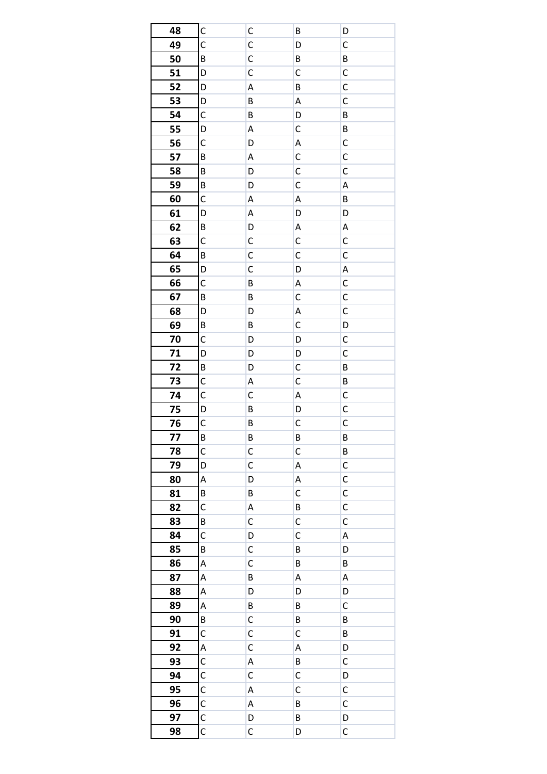| 48 | C            | C           | B            | D            |
|----|--------------|-------------|--------------|--------------|
| 49 | C            | $\mathsf C$ | D            | $\mathsf C$  |
| 50 | B            | $\mathsf C$ | B            | B            |
| 51 | D            | С           | C            | C            |
| 52 | D            | Α           | B            | C            |
| 53 | D            | B           | A            | C            |
| 54 | C            | B           | D            | B            |
| 55 | D            | А           | С            | B            |
| 56 | C            | D           | A            | C            |
| 57 | B            | А           | C            | C            |
| 58 | B            | D           | C            | C            |
| 59 | B            | D           | C            | A            |
| 60 | C            | А           | A            | $\sf B$      |
| 61 | D            | Α           | D            | D            |
| 62 | B            | D           | Α            | Α            |
| 63 | C            | С           | C            | C            |
| 64 | B            | С           | C            | C            |
| 65 | D            | C           | D            | A            |
| 66 | C            | B           | A            | C            |
| 67 | B            | B           | $\mathsf{C}$ | C            |
| 68 | D            | D           | A            | C            |
| 69 | B            | B           | C            | D            |
| 70 | C            | D           | D            | С            |
| 71 | D            | D           | D            | C            |
| 72 | B            | D           | C            | B            |
| 73 | C            | Α           | C            | B            |
| 74 | C            | С           | Α            | C            |
| 75 | D            | В           | D            | C            |
| 76 | C            | B           | C            | $\mathsf{C}$ |
| 77 | В            | В           | B            | B            |
| 78 | C            | C           | C            | B            |
| 79 | D            | С           | Α            | C            |
| 80 | А            | D           | A            | $\mathsf{C}$ |
| 81 | В            | B           | C            | C            |
| 82 | C            | Α           | B            | $\mathsf{C}$ |
| 83 | B            | С           | C            | С            |
| 84 | C            | D           | $\mathsf{C}$ | A            |
| 85 | B            | С           | B            | D            |
| 86 | А            | C           | B            | B            |
| 87 | Α            | B           | A            | Α            |
| 88 | Α            | D           | D            | D            |
| 89 | А            | B           | B            | C            |
| 90 | B            | С           | B            | B            |
| 91 | С            | C           | C            | B            |
| 92 | Α            | С           | A            | D            |
| 93 | C            | Α           | B            | C            |
| 94 | С            | С           | С            | D            |
| 95 | $\mathsf{C}$ | А           | $\mathsf{C}$ | C            |
| 96 | С            | Α           | B            | C            |
| 97 | $\mathsf{C}$ | D           | B            | D            |
| 98 | C            | C           | D            | C            |
|    |              |             |              |              |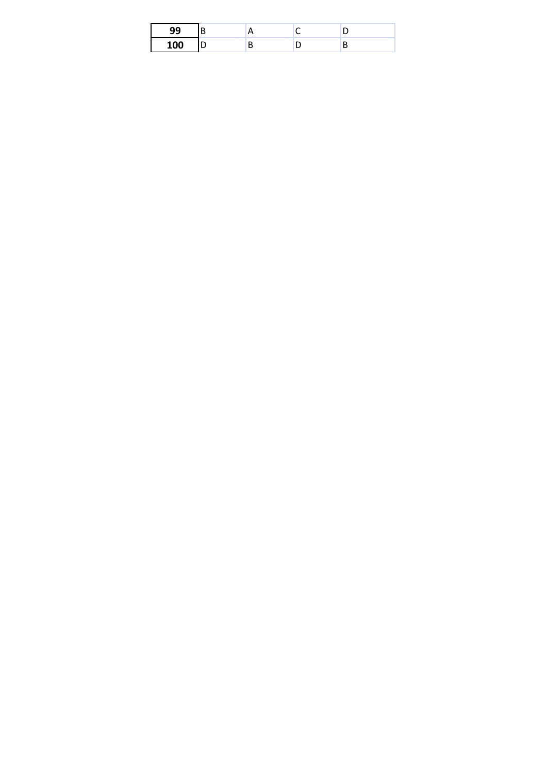|  |   | - |
|--|---|---|
|  | - | — |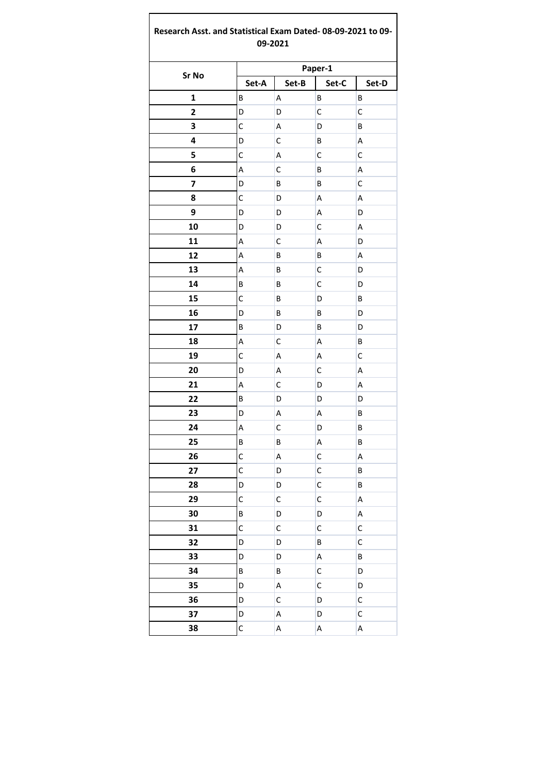## Research Asst. and Statistical Exam Dated-08-09-2021 to 09-09-2021

| Sr No                   | Paper-1      |       |              |             |  |
|-------------------------|--------------|-------|--------------|-------------|--|
|                         | Set-A        | Set-B | Set-C        | Set-D       |  |
| $\mathbf 1$             | В            | Α     | В            | В           |  |
| $\overline{\mathbf{c}}$ | D            | D     | C            | C           |  |
| 3                       | C            | А     | D            | B           |  |
| 4                       | D            | С     | В            | A           |  |
| 5                       | C            | А     | C            | C           |  |
| 6                       | А            | С     | В            | A           |  |
| 7                       | D            | В     | B            | C           |  |
| 8                       | C            | D     | A            | A           |  |
| 9                       | D            | D     | А            | D           |  |
| 10                      | D            | D     | С            | A           |  |
| 11                      | A            | С     | A            | D           |  |
| 12                      | A            | B     | B            | A           |  |
| 13                      | А            | В     | C            | D           |  |
| 14                      | B            | B     | C            | D           |  |
| 15                      | C            | В     | D            | B           |  |
| 16                      | D            | В     | В            | D           |  |
| 17                      | B            | D     | B            | D           |  |
| 18                      | A            | C     | Α            | B           |  |
| 19                      | C            | А     | А            | C           |  |
| 20                      | D            | А     | С            | A           |  |
| 21                      | A            | С     | D            | А           |  |
| 22                      | B            | D     | D            | D           |  |
| 23                      | D            | А     | А            | B           |  |
| 24                      | A            | C     | D            | B           |  |
| 25                      | B            | B     | Α            | B           |  |
| 26                      | C            | Α     | C            | А           |  |
| 27                      | $\mathsf{C}$ | D     | $\mathsf{C}$ | B           |  |
| 28                      | D            | D     | C            | B           |  |
| 29                      | C            | C     | $\mathsf C$  | A           |  |
| 30                      | B            | D     | D            | A           |  |
| 31                      | C            | С     | С            | С           |  |
| 32                      | D            | D     | B            | $\mathsf C$ |  |
| 33                      | D            | D     | A            | B           |  |
| 34                      | B            | B     | C            | D           |  |
| 35                      | D            | A     | C            | D           |  |
| 36                      | D            | С     | D            | C           |  |
| 37                      | D            | A     | D            | $\mathsf C$ |  |
| 38                      | $\mathsf C$  | A     | A            | А           |  |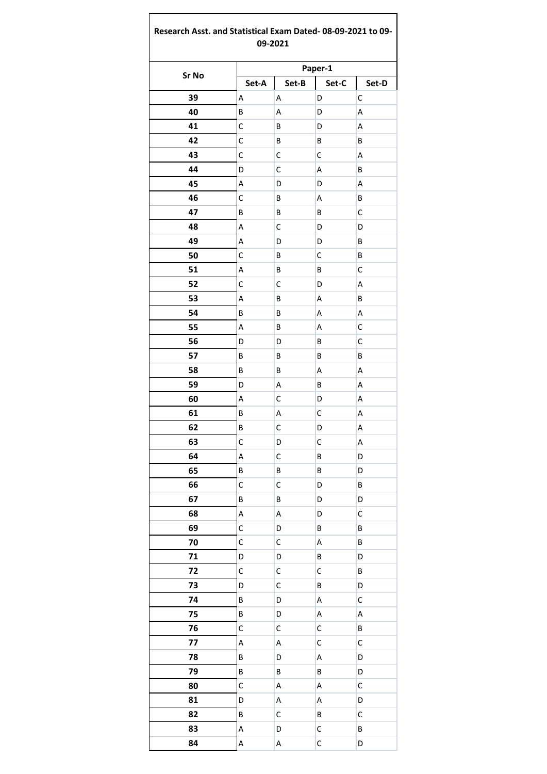## Research Asst. and Statistical Exam Dated-08-09-2021 to 09-09-2021

|       | Paper-1 |             |              |       |  |
|-------|---------|-------------|--------------|-------|--|
| Sr No | Set-A   | Set-B       | Set-C        | Set-D |  |
| 39    | А       | А           | D            | C     |  |
| 40    | B       | Α           | D            | A     |  |
| 41    | C       | В           | D            | А     |  |
| 42    | C       | B           | В            | В     |  |
| 43    | C       | $\mathsf C$ | C            | A     |  |
| 44    | D       | С           | А            | В     |  |
| 45    | A       | D           | D            | A     |  |
| 46    | C       | В           | А            | В     |  |
| 47    | B       | B           | В            | C     |  |
| 48    | A       | С           | D            | D     |  |
| 49    | A       | D           | D            | В     |  |
| 50    | C       | В           | C            | B     |  |
| 51    | A       | В           | В            | С     |  |
| 52    | C       | $\mathsf C$ | D            | А     |  |
| 53    | A       | В           | А            | B     |  |
| 54    | B       | В           | А            | А     |  |
| 55    | A       | В           | А            | C     |  |
| 56    | D       | D           | В            | C     |  |
| 57    | B       | В           | В            | B     |  |
| 58    | B       | В           | А            | A     |  |
| 59    | D       | Α           | В            | А     |  |
| 60    | A       | C           | D            | А     |  |
| 61    | В       | Α           | C            | А     |  |
| 62    | B       | $\mathsf C$ | D            | А     |  |
| 63    | С       | D           | C            | A     |  |
| 64    | A       | С           | В            | D     |  |
| 65    | B       | В           | В            | D     |  |
| 66    | C       | С           | D            | В     |  |
| 67    | B       | B           | D            | D     |  |
| 68    | A       | A           | D            | C     |  |
| 69    | С       | D           | B            | В     |  |
| 70    | C       | C           | А            | B     |  |
| 71    | D       | D           | B            | D     |  |
| 72    | C       | $\mathsf C$ | C            | B     |  |
| 73    | D       | С           | B            | D     |  |
| 74    | B       | D           | А            | С     |  |
| 75    | B       | D           | A            | A     |  |
| 76    | C       | С           | C            | В     |  |
| 77    | A       | A           | C            | C     |  |
| 78    | B       | D           | A            | D     |  |
| 79    | B       | В           | B            | D     |  |
| 80    | C       | A           | А            | C     |  |
| 81    | D       | A           | А            | D     |  |
| 82    | B       | C           | B            | С     |  |
| 83    | A       | D           | C            | B     |  |
| 84    | A       | Α           | $\mathsf{C}$ | D     |  |
|       |         |             |              |       |  |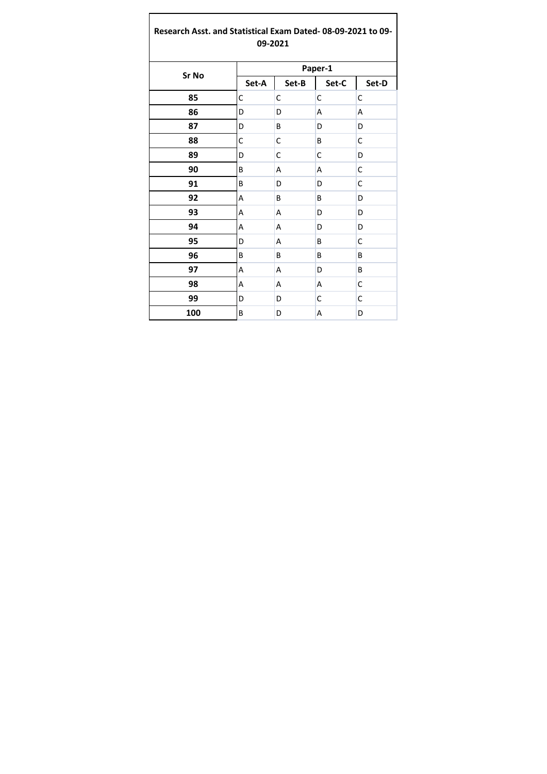## **Research Asst. and Statistical Exam Dated- 08-09-2021 to 09- 09-2021**

| Sr No | Paper-1 |       |       |       |  |
|-------|---------|-------|-------|-------|--|
|       | Set-A   | Set-B | Set-C | Set-D |  |
| 85    | С       | C     | C     | C     |  |
| 86    | D       | D     | A     | Α     |  |
| 87    | D       | B     | D     | D     |  |
| 88    | C       | C     | B     | С     |  |
| 89    | D       | C     | C     | D     |  |
| 90    | B       | A     | A     | C     |  |
| 91    | B       | D     | D     | C     |  |
| 92    | Α       | B     | B     | D     |  |
| 93    | Α       | Α     | D     | D     |  |
| 94    | Α       | Α     | D     | D     |  |
| 95    | D       | A     | B     | C     |  |
| 96    | B       | B     | B     | B     |  |
| 97    | А       | Α     | D     | B     |  |
| 98    | А       | Α     | А     | С     |  |
| 99    | D       | D     | С     | С     |  |
| 100   | В       | D     | А     | D     |  |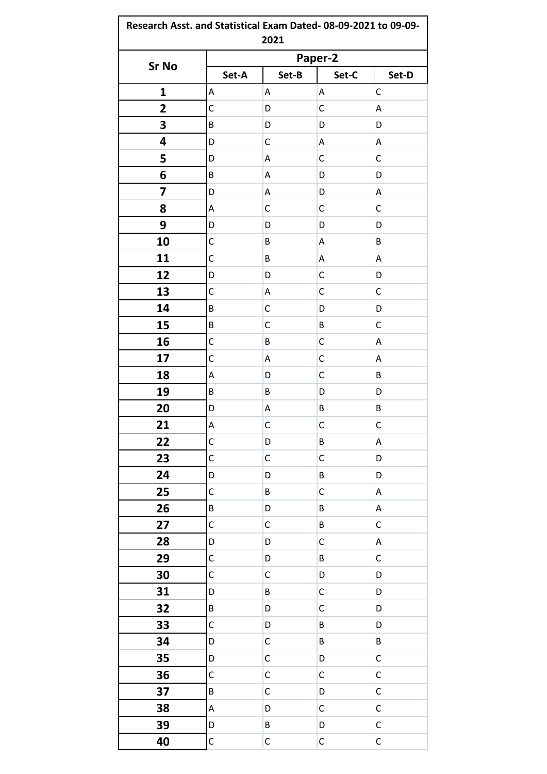| <b>Sr No</b>            |              | Paper-2     |              |              |  |
|-------------------------|--------------|-------------|--------------|--------------|--|
|                         | Set-A        | Set-B       | Set-C        | Set-D        |  |
| $\mathbf{1}$            | Α            | Α           | Α            | C            |  |
| $\overline{\mathbf{2}}$ | $\mathsf C$  | D           | C            | A            |  |
| 3                       | B            | D           | D            | D            |  |
| 4                       | D            | С           | Α            | Α            |  |
| 5                       | D            | Α           | С            | C            |  |
| 6                       | B            | А           | D            | D            |  |
| 7                       | D            | А           | D            | A            |  |
| 8                       | Α            | C           | C            | C            |  |
| 9                       | D            | D           | D            | D            |  |
| 10                      | C            | B           | Α            | B            |  |
| 11                      | C            | B           | Α            | Α            |  |
| 12                      | D            | D           | C            | D            |  |
| 13                      | C            | А           | C            | C            |  |
| 14                      | B            | C           | D            | D            |  |
| 15                      | B            | $\mathsf C$ | B            | $\mathsf C$  |  |
| 16                      | C            | B           | $\mathsf C$  | A            |  |
| 17                      | C            | А           | C            | A            |  |
| 18                      | Α            | D           | $\mathsf{C}$ | B            |  |
| 19                      | B            | B           | D            | D            |  |
| 20                      | D            | Α           | B            | B            |  |
| 21                      | A            | $\mathsf C$ | $\mathsf{C}$ | $\mathsf{C}$ |  |
| 22                      | $\mathsf C$  | D           | B            | A            |  |
| 23                      | C            | $\mathsf C$ | $\mathsf{C}$ | D            |  |
| 24                      | D            | D           | B            | D            |  |
| 25                      | C            | B           | $\mathsf{C}$ | A            |  |
| 26                      | B            | D           | B            | Α            |  |
| 27                      | $\mathsf{C}$ | $\mathsf C$ | B            | $\mathsf C$  |  |
| 28                      | D            | D           | $\mathsf{C}$ | $\mathsf A$  |  |
| 29                      | $\mathsf C$  | D           | B            | $\mathsf C$  |  |
| 30                      | C            | $\mathsf C$ | D            | D            |  |
| 31                      | D            | B           | $\mathsf C$  | D            |  |
| 32                      | B            | D           | C            | D            |  |
| 33                      | C            | D           | B            | D            |  |
| 34                      | D            | $\mathsf C$ | B            | B            |  |
| 35                      | D            | C           | D            | $\mathsf C$  |  |
| 36                      | C            | $\mathsf C$ | $\mathsf C$  | $\mathsf C$  |  |
| 37                      | B            | C           | D            | $\mathsf C$  |  |
| 38                      | А            | D           | C            | $\mathsf C$  |  |
| 39                      | D            | B           | D            | $\mathsf C$  |  |
| 40                      | $\mathsf{C}$ | $\mathsf C$ | $\mathsf C$  | $\mathsf C$  |  |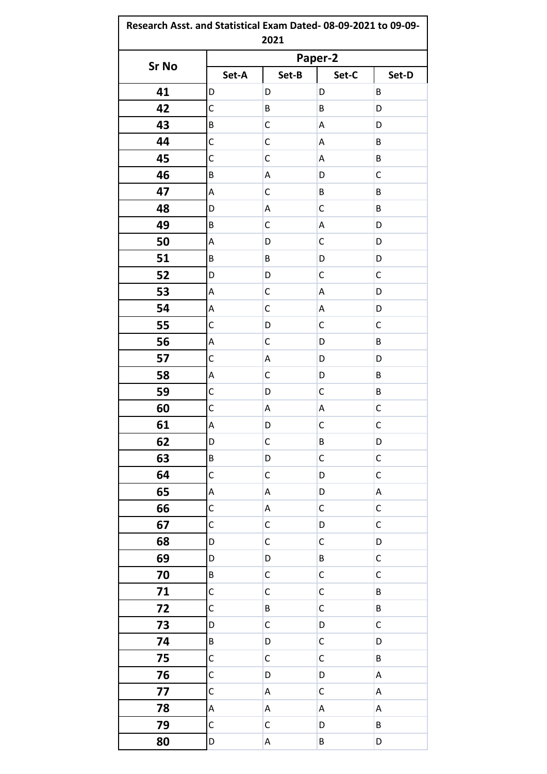|              |             | 2021        |              |             |  |
|--------------|-------------|-------------|--------------|-------------|--|
|              | Paper-2     |             |              |             |  |
| <b>Sr No</b> | Set-A       | Set-B       | Set-C        | Set-D       |  |
| 41           | D           | D           | D            | B           |  |
| 42           | C           | B           | B            | D           |  |
| 43           | B           | C           | Α            | D           |  |
| 44           | $\mathsf C$ | C           | Α            | B           |  |
| 45           | C           | C           | А            | B           |  |
| 46           | B           | А           | D            | C           |  |
| 47           | Α           | C           | B            | B           |  |
| 48           | D           | А           | С            | B           |  |
| 49           | B           | C           | Α            | D           |  |
| 50           | Α           | D           | C            | D           |  |
| 51           | B           | B           | D            | D           |  |
| 52           | D           | D           | C            | С           |  |
| 53           | А           | C           | Α            | D           |  |
| 54           | А           | C           | Α            | D           |  |
| 55           | $\mathsf C$ | D           | C            | C           |  |
| 56           | Α           | C           | D            | B           |  |
| 57           | $\mathsf C$ | А           | D            | D           |  |
| 58           | A           | C           | D            | B           |  |
| 59           | C           | D           | C            | B           |  |
| 60           | C           | А           | А            | C           |  |
| 61           | A           | D           | $\mathsf C$  | $\mathsf C$ |  |
| 62           | D           | $\mathsf C$ | B            | D           |  |
| 63           | B           | D           | $\mathsf{C}$ | $\mathsf C$ |  |
| 64           | $\mathsf C$ | $\mathsf C$ | D            | $\mathsf C$ |  |
| 65           | A           | А           | D            | A           |  |
| 66           | $\mathsf C$ | А           | $\mathsf{C}$ | $\mathsf C$ |  |
| 67           | C           | $\mathsf C$ | D            | $\mathsf C$ |  |
| 68           | D           | $\mathsf C$ | $\mathsf{C}$ | D           |  |
| 69           | D           | D           | B            | $\mathsf C$ |  |
| 70           | B           | $\mathsf C$ | $\mathsf C$  | $\mathsf C$ |  |
| 71           | $\mathsf C$ | $\mathsf C$ | $\mathsf{C}$ | B           |  |
| 72           | C           | B           | $\mathsf C$  | B           |  |
| 73           | D           | C           | D            | $\mathsf C$ |  |
| 74           | B           | D           | $\mathsf C$  | D           |  |
| 75           | C           | C           | $\mathsf C$  | B           |  |
| 76           | С           | D           | D            | A           |  |
| 77           | C           | А           | $\mathsf C$  | A           |  |
| 78           | А           | А           | А            | A           |  |
| 79           | C           | C           | D            | B           |  |
| 80           | D           | Α           | B            | D           |  |